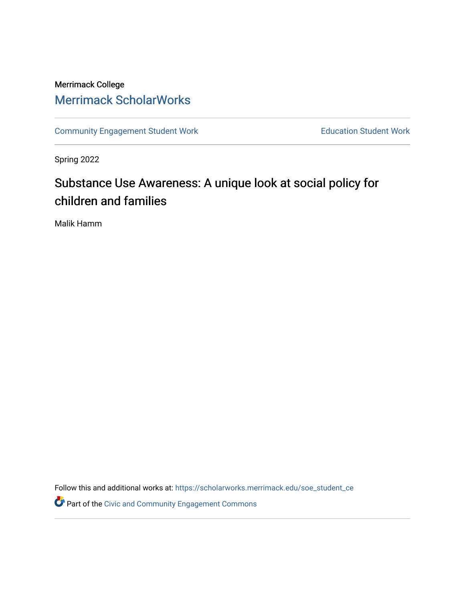## Merrimack College [Merrimack ScholarWorks](https://scholarworks.merrimack.edu/)

[Community Engagement Student Work](https://scholarworks.merrimack.edu/soe_student_ce) **Education Student Work** Education Student Work

Spring 2022

# Substance Use Awareness: A unique look at social policy for children and families

Malik Hamm

Follow this and additional works at: [https://scholarworks.merrimack.edu/soe\\_student\\_ce](https://scholarworks.merrimack.edu/soe_student_ce?utm_source=scholarworks.merrimack.edu%2Fsoe_student_ce%2F88&utm_medium=PDF&utm_campaign=PDFCoverPages) 

**P** Part of the [Civic and Community Engagement Commons](http://network.bepress.com/hgg/discipline/1028?utm_source=scholarworks.merrimack.edu%2Fsoe_student_ce%2F88&utm_medium=PDF&utm_campaign=PDFCoverPages)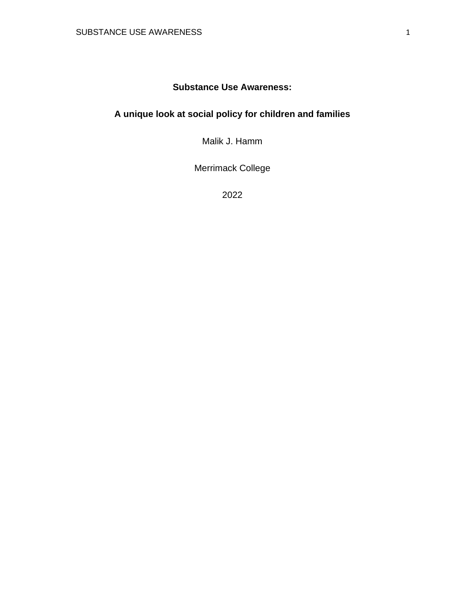## **Substance Use Awareness:**

## **A unique look at social policy for children and families**

Malik J. Hamm

Merrimack College

2022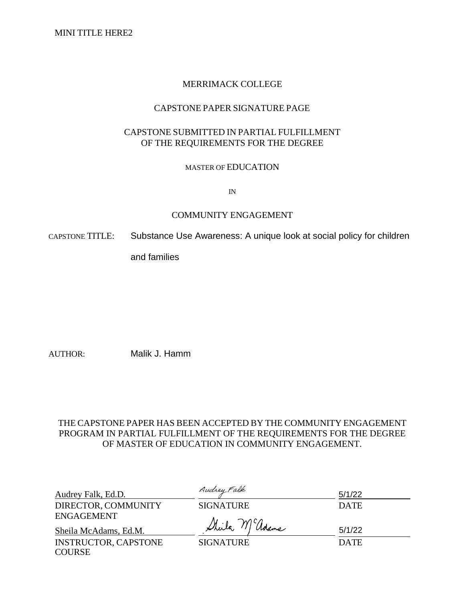MINI TITLE HERE2

## MERRIMACK COLLEGE

## CAPSTONE PAPER SIGNATURE PAGE

## CAPSTONE SUBMITTED IN PARTIAL FULFILLMENT OF THE REQUIREMENTS FOR THE DEGREE

## MASTER OF EDUCATION

IN

## COMMUNITY ENGAGEMENT

CAPSTONE TITLE: Substance Use Awareness: A unique look at social policy for children

## and families

AUTHOR: Malik J. Hamm

## THE CAPSTONE PAPER HAS BEEN ACCEPTED BY THE COMMUNITY ENGAGEMENT PROGRAM IN PARTIAL FULFILLMENT OF THE REQUIREMENTS FOR THE DEGREE OF MASTER OF EDUCATION IN COMMUNITY ENGAGEMENT.

| Audrey Falk, Ed.D.          | Audrey Falk      | 5/1/22      |
|-----------------------------|------------------|-------------|
| DIRECTOR, COMMUNITY         | <b>SIGNATURE</b> | <b>DATE</b> |
| ENGAGEMENT                  |                  |             |
| Sheila McAdams, Ed.M.       | Sheila Mc adams  | 5/1/22      |
| <b>INSTRUCTOR, CAPSTONE</b> | <b>SIGNATURE</b> | <b>DATE</b> |
| <b>COURSE</b>               |                  |             |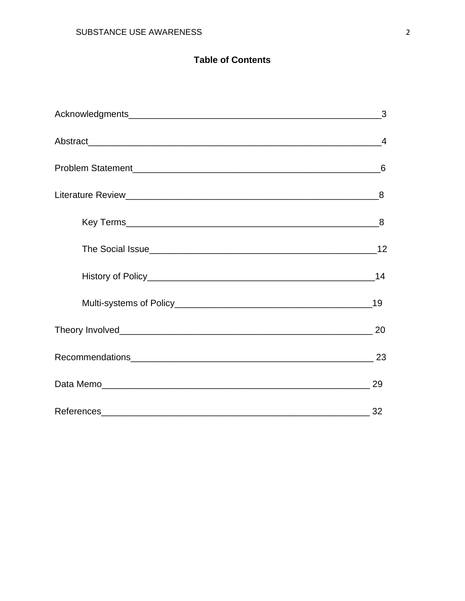## **Table of Contents**

|            | 3  |
|------------|----|
|            |    |
|            |    |
|            |    |
|            |    |
|            |    |
|            |    |
|            | 19 |
|            |    |
|            |    |
|            |    |
| References | 32 |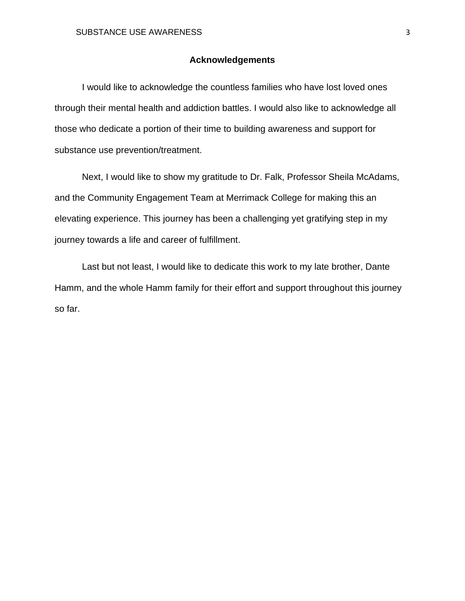## **Acknowledgements**

I would like to acknowledge the countless families who have lost loved ones through their mental health and addiction battles. I would also like to acknowledge all those who dedicate a portion of their time to building awareness and support for substance use prevention/treatment.

Next, I would like to show my gratitude to Dr. Falk, Professor Sheila McAdams, and the Community Engagement Team at Merrimack College for making this an elevating experience. This journey has been a challenging yet gratifying step in my journey towards a life and career of fulfillment.

Last but not least, I would like to dedicate this work to my late brother, Dante Hamm, and the whole Hamm family for their effort and support throughout this journey so far.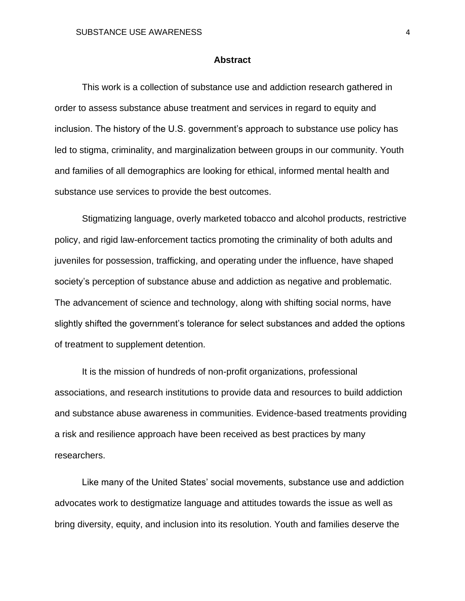### **Abstract**

This work is a collection of substance use and addiction research gathered in order to assess substance abuse treatment and services in regard to equity and inclusion. The history of the U.S. government's approach to substance use policy has led to stigma, criminality, and marginalization between groups in our community. Youth and families of all demographics are looking for ethical, informed mental health and substance use services to provide the best outcomes.

Stigmatizing language, overly marketed tobacco and alcohol products, restrictive policy, and rigid law-enforcement tactics promoting the criminality of both adults and juveniles for possession, trafficking, and operating under the influence, have shaped society's perception of substance abuse and addiction as negative and problematic. The advancement of science and technology, along with shifting social norms, have slightly shifted the government's tolerance for select substances and added the options of treatment to supplement detention.

It is the mission of hundreds of non-profit organizations, professional associations, and research institutions to provide data and resources to build addiction and substance abuse awareness in communities. Evidence-based treatments providing a risk and resilience approach have been received as best practices by many researchers.

Like many of the United States' social movements, substance use and addiction advocates work to destigmatize language and attitudes towards the issue as well as bring diversity, equity, and inclusion into its resolution. Youth and families deserve the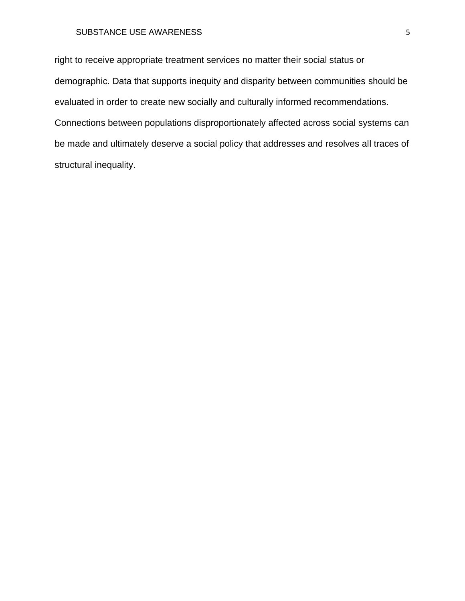right to receive appropriate treatment services no matter their social status or demographic. Data that supports inequity and disparity between communities should be evaluated in order to create new socially and culturally informed recommendations. Connections between populations disproportionately affected across social systems can be made and ultimately deserve a social policy that addresses and resolves all traces of structural inequality.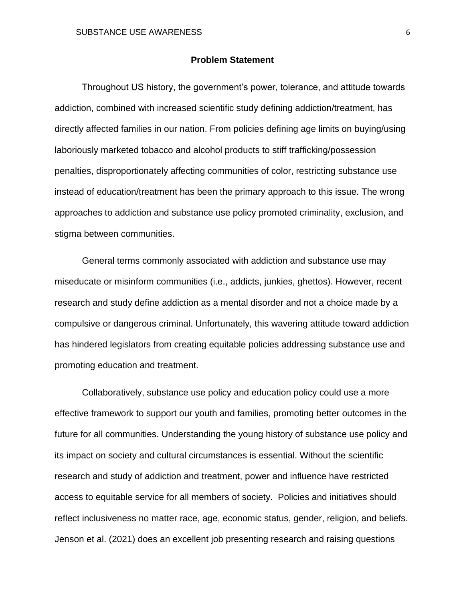### **Problem Statement**

Throughout US history, the government's power, tolerance, and attitude towards addiction, combined with increased scientific study defining addiction/treatment, has directly affected families in our nation. From policies defining age limits on buying/using laboriously marketed tobacco and alcohol products to stiff trafficking/possession penalties, disproportionately affecting communities of color, restricting substance use instead of education/treatment has been the primary approach to this issue. The wrong approaches to addiction and substance use policy promoted criminality, exclusion, and stigma between communities.

General terms commonly associated with addiction and substance use may miseducate or misinform communities (i.e., addicts, junkies, ghettos). However, recent research and study define addiction as a mental disorder and not a choice made by a compulsive or dangerous criminal. Unfortunately, this wavering attitude toward addiction has hindered legislators from creating equitable policies addressing substance use and promoting education and treatment.

Collaboratively, substance use policy and education policy could use a more effective framework to support our youth and families, promoting better outcomes in the future for all communities. Understanding the young history of substance use policy and its impact on society and cultural circumstances is essential. Without the scientific research and study of addiction and treatment, power and influence have restricted access to equitable service for all members of society. Policies and initiatives should reflect inclusiveness no matter race, age, economic status, gender, religion, and beliefs. Jenson et al. (2021) does an excellent job presenting research and raising questions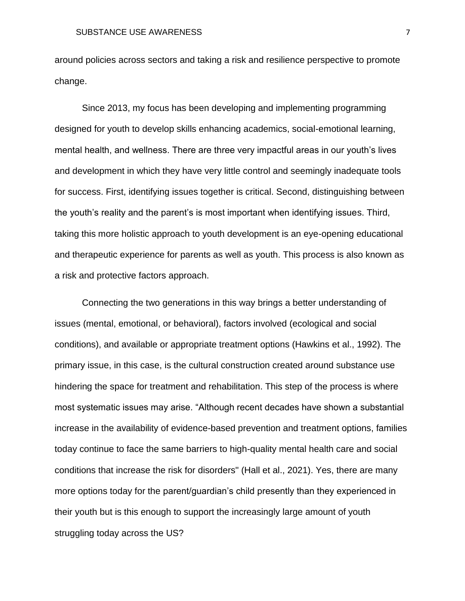around policies across sectors and taking a risk and resilience perspective to promote change.

Since 2013, my focus has been developing and implementing programming designed for youth to develop skills enhancing academics, social-emotional learning, mental health, and wellness. There are three very impactful areas in our youth's lives and development in which they have very little control and seemingly inadequate tools for success. First, identifying issues together is critical. Second, distinguishing between the youth's reality and the parent's is most important when identifying issues. Third, taking this more holistic approach to youth development is an eye-opening educational and therapeutic experience for parents as well as youth. This process is also known as a risk and protective factors approach.

Connecting the two generations in this way brings a better understanding of issues (mental, emotional, or behavioral), factors involved (ecological and social conditions), and available or appropriate treatment options (Hawkins et al., 1992). The primary issue, in this case, is the cultural construction created around substance use hindering the space for treatment and rehabilitation. This step of the process is where most systematic issues may arise. "Although recent decades have shown a substantial increase in the availability of evidence-based prevention and treatment options, families today continue to face the same barriers to high-quality mental health care and social conditions that increase the risk for disorders'' (Hall et al., 2021). Yes, there are many more options today for the parent/guardian's child presently than they experienced in their youth but is this enough to support the increasingly large amount of youth struggling today across the US?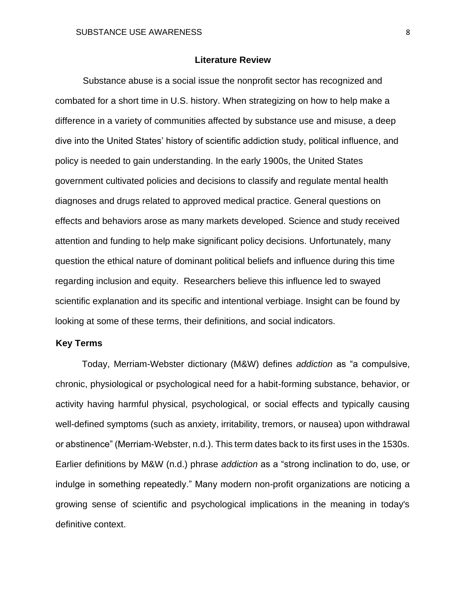### **Literature Review**

Substance abuse is a social issue the nonprofit sector has recognized and combated for a short time in U.S. history. When strategizing on how to help make a difference in a variety of communities affected by substance use and misuse, a deep dive into the United States' history of scientific addiction study, political influence, and policy is needed to gain understanding. In the early 1900s, the United States government cultivated policies and decisions to classify and regulate mental health diagnoses and drugs related to approved medical practice. General questions on effects and behaviors arose as many markets developed. Science and study received attention and funding to help make significant policy decisions. Unfortunately, many question the ethical nature of dominant political beliefs and influence during this time regarding inclusion and equity. Researchers believe this influence led to swayed scientific explanation and its specific and intentional verbiage. Insight can be found by looking at some of these terms, their definitions, and social indicators.

## **Key Terms**

Today, Merriam-Webster dictionary (M&W) defines *addiction* as "a compulsive, chronic, physiological or psychological need for a habit-forming substance, behavior, or activity having harmful physical, psychological, or social effects and typically causing well-defined symptoms (such as anxiety, irritability, tremors, or nausea) upon withdrawal or abstinence" (Merriam-Webster, n.d.). This term dates back to its first uses in the 1530s. Earlier definitions by M&W (n.d.) phrase *addiction* as a "strong inclination to do, use, or indulge in something repeatedly." Many modern non-profit organizations are noticing a growing sense of scientific and psychological implications in the meaning in today's definitive context.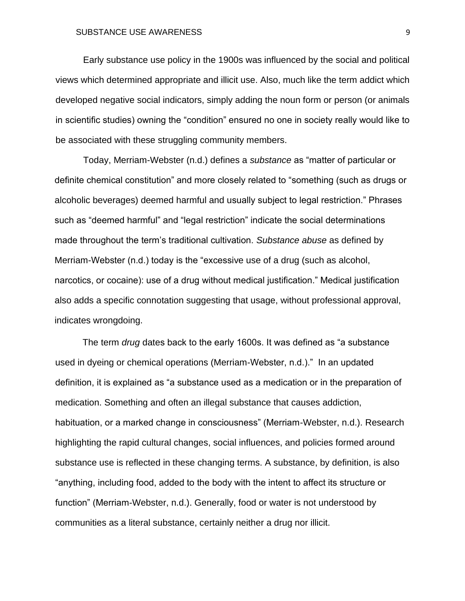Early substance use policy in the 1900s was influenced by the social and political views which determined appropriate and illicit use. Also, much like the term addict which developed negative social indicators, simply adding the noun form or person (or animals in scientific studies) owning the "condition" ensured no one in society really would like to be associated with these struggling community members.

Today, Merriam-Webster (n.d.) defines a *substance* as "matter of particular or definite chemical constitution" and more closely related to "something (such as drugs or alcoholic beverages) deemed harmful and usually subject to legal restriction." Phrases such as "deemed harmful" and "legal restriction" indicate the social determinations made throughout the term's traditional cultivation. *Substance abuse* as defined by Merriam-Webster (n.d.) today is the "excessive use of a drug (such as alcohol, narcotics, or cocaine): use of a drug without medical justification." Medical justification also adds a specific connotation suggesting that usage, without professional approval, indicates wrongdoing.

The term *drug* dates back to the early 1600s. It was defined as "a substance used in dyeing or chemical operations (Merriam-Webster, n.d.)." In an updated definition, it is explained as "a substance used as a medication or in the preparation of medication. Something and often an illegal substance that causes addiction, habituation, or a marked change in consciousness" (Merriam-Webster, n.d.). Research highlighting the rapid cultural changes, social influences, and policies formed around substance use is reflected in these changing terms. A substance, by definition, is also "anything, including food, added to the body with the intent to affect its structure or function" (Merriam-Webster, n.d.). Generally, food or water is not understood by communities as a literal substance, certainly neither a drug nor illicit.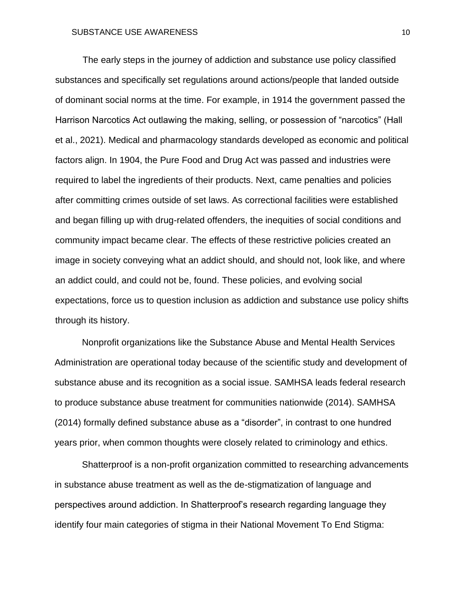The early steps in the journey of addiction and substance use policy classified substances and specifically set regulations around actions/people that landed outside of dominant social norms at the time. For example, in 1914 the government passed the Harrison Narcotics Act outlawing the making, selling, or possession of "narcotics" (Hall et al., 2021). Medical and pharmacology standards developed as economic and political factors align. In 1904, the Pure Food and Drug Act was passed and industries were required to label the ingredients of their products. Next, came penalties and policies after committing crimes outside of set laws. As correctional facilities were established and began filling up with drug-related offenders, the inequities of social conditions and community impact became clear. The effects of these restrictive policies created an image in society conveying what an addict should, and should not, look like, and where an addict could, and could not be, found. These policies, and evolving social expectations, force us to question inclusion as addiction and substance use policy shifts through its history.

Nonprofit organizations like the Substance Abuse and Mental Health Services Administration are operational today because of the scientific study and development of substance abuse and its recognition as a social issue. SAMHSA leads federal research to produce substance abuse treatment for communities nationwide (2014). SAMHSA (2014) formally defined substance abuse as a "disorder", in contrast to one hundred years prior, when common thoughts were closely related to criminology and ethics.

Shatterproof is a non-profit organization committed to researching advancements in substance abuse treatment as well as the de-stigmatization of language and perspectives around addiction. In Shatterproof's research regarding language they identify four main categories of stigma in their National Movement To End Stigma: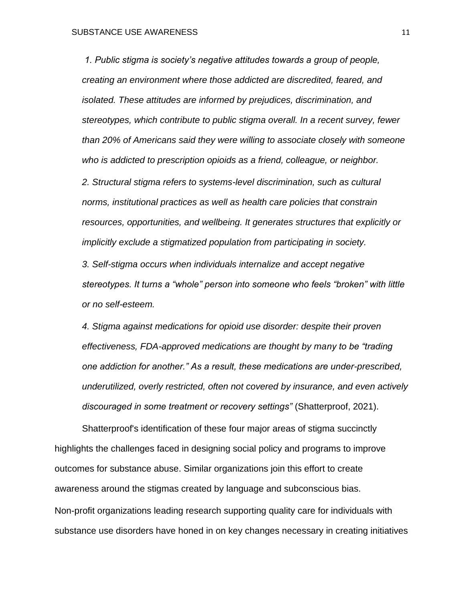*1. Public stigma is society's negative attitudes towards a group of people, creating an environment where those addicted are discredited, feared, and isolated. These attitudes are informed by prejudices, discrimination, and stereotypes, which contribute to public stigma overall. In a recent survey, fewer than 20% of Americans said they were willing to associate closely with someone who is addicted to prescription opioids as a friend, colleague, or neighbor.*

*2. Structural stigma refers to systems-level discrimination, such as cultural norms, institutional practices as well as health care policies that constrain resources, opportunities, and wellbeing. It generates structures that explicitly or implicitly exclude a stigmatized population from participating in society. 3. Self-stigma occurs when individuals internalize and accept negative stereotypes. It turns a "whole" person into someone who feels "broken" with little* 

*or no self-esteem.*

*4. Stigma against medications for opioid use disorder: despite their proven effectiveness, FDA-approved medications are thought by many to be "trading one addiction for another." As a result, these medications are under-prescribed, underutilized, overly restricted, often not covered by insurance, and even actively discouraged in some treatment or recovery settings"* (Shatterproof, 2021).

Shatterproof's identification of these four major areas of stigma succinctly highlights the challenges faced in designing social policy and programs to improve outcomes for substance abuse. Similar organizations join this effort to create awareness around the stigmas created by language and subconscious bias. Non-profit organizations leading research supporting quality care for individuals with substance use disorders have honed in on key changes necessary in creating initiatives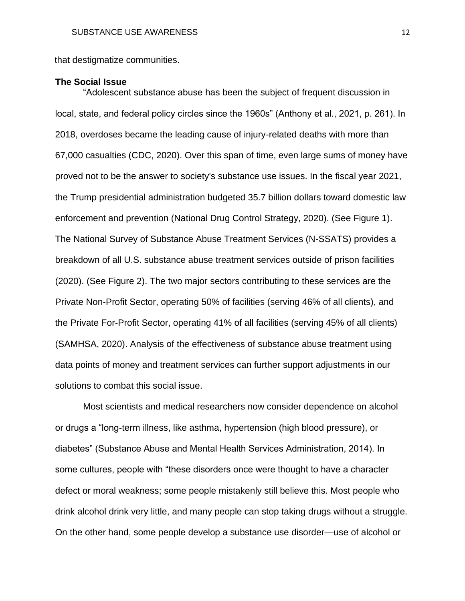that destigmatize communities.

#### **The Social Issue**

"Adolescent substance abuse has been the subject of frequent discussion in local, state, and federal policy circles since the 1960s" (Anthony et al., 2021, p. 261). In 2018, overdoses became the leading cause of injury-related deaths with more than 67,000 casualties (CDC, 2020). Over this span of time, even large sums of money have proved not to be the answer to society's substance use issues. In the fiscal year 2021, the Trump presidential administration budgeted 35.7 billion dollars toward domestic law enforcement and prevention (National Drug Control Strategy, 2020). (See Figure 1). The National Survey of Substance Abuse Treatment Services (N-SSATS) provides a breakdown of all U.S. substance abuse treatment services outside of prison facilities (2020). (See Figure 2). The two major sectors contributing to these services are the Private Non-Profit Sector, operating 50% of facilities (serving 46% of all clients), and the Private For-Profit Sector, operating 41% of all facilities (serving 45% of all clients) (SAMHSA, 2020). Analysis of the effectiveness of substance abuse treatment using data points of money and treatment services can further support adjustments in our solutions to combat this social issue.

Most scientists and medical researchers now consider dependence on alcohol or drugs a "long-term illness, like asthma, hypertension (high blood pressure), or diabetes" (Substance Abuse and Mental Health Services Administration, 2014). In some cultures, people with "these disorders once were thought to have a character defect or moral weakness; some people mistakenly still believe this. Most people who drink alcohol drink very little, and many people can stop taking drugs without a struggle. On the other hand, some people develop a substance use disorder—use of alcohol or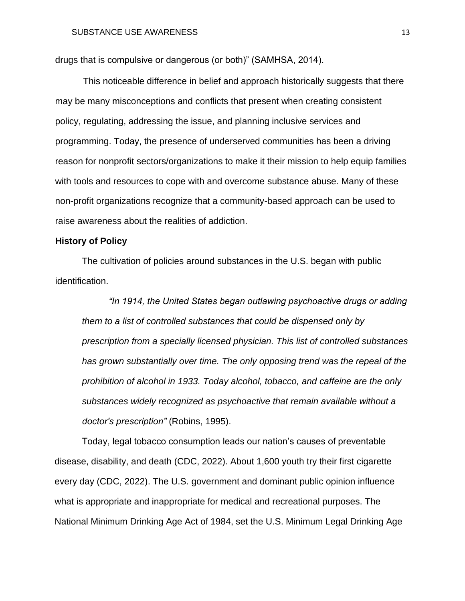drugs that is compulsive or dangerous (or both)" (SAMHSA, 2014).

This noticeable difference in belief and approach historically suggests that there may be many misconceptions and conflicts that present when creating consistent policy, regulating, addressing the issue, and planning inclusive services and programming. Today, the presence of underserved communities has been a driving reason for nonprofit sectors/organizations to make it their mission to help equip families with tools and resources to cope with and overcome substance abuse. Many of these non-profit organizations recognize that a community-based approach can be used to raise awareness about the realities of addiction.

#### **History of Policy**

The cultivation of policies around substances in the U.S. began with public identification.

*"In 1914, the United States began outlawing psychoactive drugs or adding them to a list of controlled substances that could be dispensed only by prescription from a specially licensed physician. This list of controlled substances*  has grown substantially over time. The only opposing trend was the repeal of the *prohibition of alcohol in 1933. Today alcohol, tobacco, and caffeine are the only substances widely recognized as psychoactive that remain available without a doctor's prescription"* (Robins, 1995).

Today, legal tobacco consumption leads our nation's causes of preventable disease, disability, and death (CDC, 2022). About 1,600 youth try their first cigarette every day (CDC, 2022). The U.S. government and dominant public opinion influence what is appropriate and inappropriate for medical and recreational purposes. The National Minimum Drinking Age Act of 1984, set the U.S. Minimum Legal Drinking Age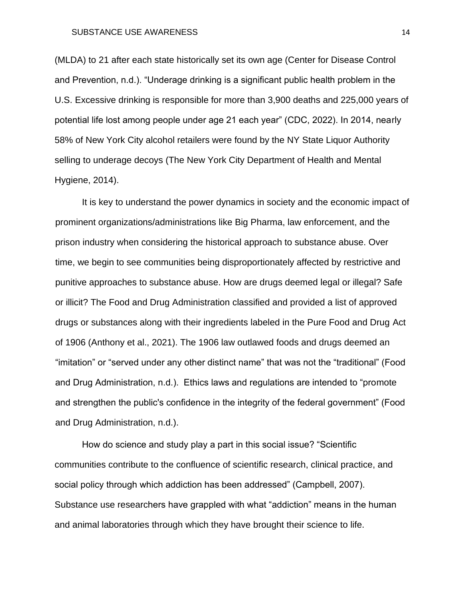(MLDA) to 21 after each state historically set its own age (Center for Disease Control and Prevention, n.d.). "Underage drinking is a significant public health problem in the U.S. Excessive drinking is responsible for more than 3,900 deaths and 225,000 years of potential life lost among people under age 21 each year" (CDC, 2022). In 2014, nearly 58% of New York City alcohol retailers were found by the NY State Liquor Authority selling to underage decoys (The New York City Department of Health and Mental Hygiene, 2014).

It is key to understand the power dynamics in society and the economic impact of prominent organizations/administrations like Big Pharma, law enforcement, and the prison industry when considering the historical approach to substance abuse. Over time, we begin to see communities being disproportionately affected by restrictive and punitive approaches to substance abuse. How are drugs deemed legal or illegal? Safe or illicit? The Food and Drug Administration classified and provided a list of approved drugs or substances along with their ingredients labeled in the Pure Food and Drug Act of 1906 (Anthony et al., 2021). The 1906 law outlawed foods and drugs deemed an "imitation" or "served under any other distinct name" that was not the "traditional" (Food and Drug Administration, n.d.). Ethics laws and regulations are intended to "promote and strengthen the public's confidence in the integrity of the federal government" (Food and Drug Administration, n.d.).

How do science and study play a part in this social issue? "Scientific communities contribute to the confluence of scientific research, clinical practice, and social policy through which addiction has been addressed" (Campbell, 2007). Substance use researchers have grappled with what "addiction" means in the human and animal laboratories through which they have brought their science to life.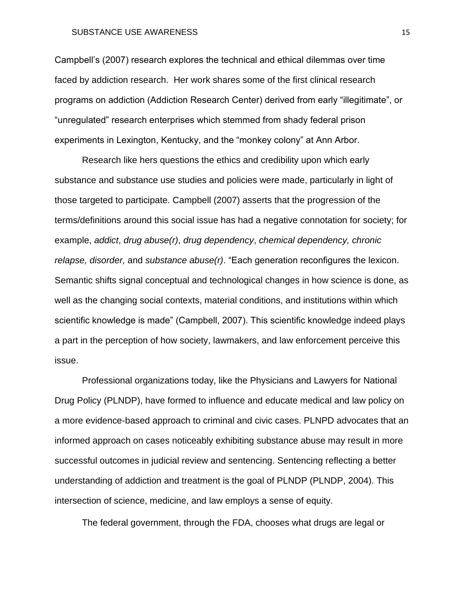Campbell's (2007) research explores the technical and ethical dilemmas over time faced by addiction research. Her work shares some of the first clinical research programs on addiction (Addiction Research Center) derived from early "illegitimate", or "unregulated" research enterprises which stemmed from shady federal prison experiments in Lexington, Kentucky, and the "monkey colony" at Ann Arbor.

Research like hers questions the ethics and credibility upon which early substance and substance use studies and policies were made, particularly in light of those targeted to participate. Campbell (2007) asserts that the progression of the terms/definitions around this social issue has had a negative connotation for society; for example, *addict*, *drug abuse(r)*, *drug dependency*, *chemical dependency, chronic relapse, disorder,* and *substance abuse(r)*. "Each generation reconfigures the lexicon. Semantic shifts signal conceptual and technological changes in how science is done, as well as the changing social contexts, material conditions, and institutions within which scientific knowledge is made" (Campbell, 2007). This scientific knowledge indeed plays a part in the perception of how society, lawmakers, and law enforcement perceive this issue.

Professional organizations today, like the Physicians and Lawyers for National Drug Policy (PLNDP), have formed to influence and educate medical and law policy on a more evidence-based approach to criminal and civic cases. PLNPD advocates that an informed approach on cases noticeably exhibiting substance abuse may result in more successful outcomes in judicial review and sentencing. Sentencing reflecting a better understanding of addiction and treatment is the goal of PLNDP (PLNDP, 2004). This intersection of science, medicine, and law employs a sense of equity.

The federal government, through the FDA, chooses what drugs are legal or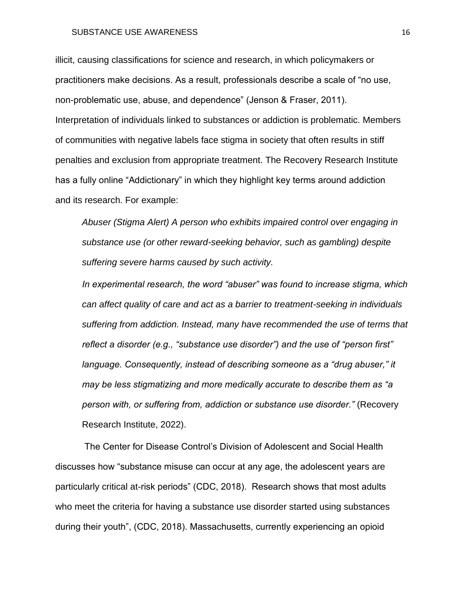illicit, causing classifications for science and research, in which policymakers or practitioners make decisions. As a result, professionals describe a scale of "no use, non-problematic use, abuse, and dependence" (Jenson & Fraser, 2011). Interpretation of individuals linked to substances or addiction is problematic. Members of communities with negative labels face stigma in society that often results in stiff penalties and exclusion from appropriate treatment. The Recovery Research Institute has a fully online "Addictionary" in which they highlight key terms around addiction and its research. For example:

*Abuser (Stigma Alert) A person who exhibits impaired control over engaging in substance use (or other reward-seeking behavior, such as gambling) despite suffering severe harms caused by such activity.*

*In experimental research, the word "abuser" was found to increase stigma, which can affect quality of care and act as a barrier to treatment-seeking in individuals suffering from addiction. Instead, many have recommended the use of terms that reflect a disorder (e.g., "substance use disorder") and the use of "person first" language. Consequently, instead of describing someone as a "drug abuser," it may be less stigmatizing and more medically accurate to describe them as "a person with, or suffering from, addiction or substance use disorder."* (Recovery Research Institute, 2022).

The Center for Disease Control's Division of Adolescent and Social Health discusses how "substance misuse can occur at any age, the adolescent years are particularly critical at-risk periods" (CDC, 2018). Research shows that most adults who meet the criteria for having a substance use disorder started using substances during their youth", (CDC, 2018). Massachusetts, currently experiencing an opioid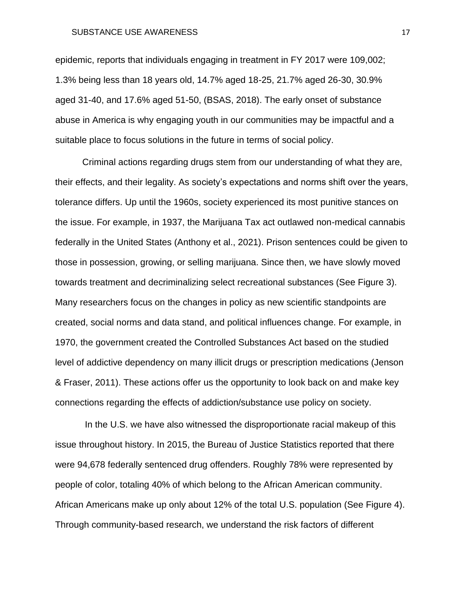epidemic, reports that individuals engaging in treatment in FY 2017 were 109,002; 1.3% being less than 18 years old, 14.7% aged 18-25, 21.7% aged 26-30, 30.9% aged 31-40, and 17.6% aged 51-50, (BSAS, 2018). The early onset of substance abuse in America is why engaging youth in our communities may be impactful and a suitable place to focus solutions in the future in terms of social policy.

Criminal actions regarding drugs stem from our understanding of what they are, their effects, and their legality. As society's expectations and norms shift over the years, tolerance differs. Up until the 1960s, society experienced its most punitive stances on the issue. For example, in 1937, the Marijuana Tax act outlawed non-medical cannabis federally in the United States (Anthony et al., 2021). Prison sentences could be given to those in possession, growing, or selling marijuana. Since then, we have slowly moved towards treatment and decriminalizing select recreational substances (See Figure 3). Many researchers focus on the changes in policy as new scientific standpoints are created, social norms and data stand, and political influences change. For example, in 1970, the government created the Controlled Substances Act based on the studied level of addictive dependency on many illicit drugs or prescription medications (Jenson & Fraser, 2011). These actions offer us the opportunity to look back on and make key connections regarding the effects of addiction/substance use policy on society.

In the U.S. we have also witnessed the disproportionate racial makeup of this issue throughout history. In 2015, the Bureau of Justice Statistics reported that there were 94,678 federally sentenced drug offenders. Roughly 78% were represented by people of color, totaling 40% of which belong to the African American community. African Americans make up only about 12% of the total U.S. population (See Figure 4). Through community-based research, we understand the risk factors of different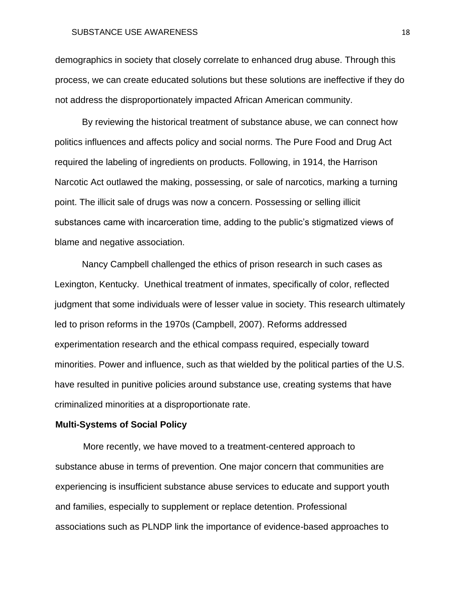demographics in society that closely correlate to enhanced drug abuse. Through this process, we can create educated solutions but these solutions are ineffective if they do not address the disproportionately impacted African American community.

By reviewing the historical treatment of substance abuse, we can connect how politics influences and affects policy and social norms. The Pure Food and Drug Act required the labeling of ingredients on products. Following, in 1914, the Harrison Narcotic Act outlawed the making, possessing, or sale of narcotics, marking a turning point. The illicit sale of drugs was now a concern. Possessing or selling illicit substances came with incarceration time, adding to the public's stigmatized views of blame and negative association.

Nancy Campbell challenged the ethics of prison research in such cases as Lexington, Kentucky. Unethical treatment of inmates, specifically of color, reflected judgment that some individuals were of lesser value in society. This research ultimately led to prison reforms in the 1970s (Campbell, 2007). Reforms addressed experimentation research and the ethical compass required, especially toward minorities. Power and influence, such as that wielded by the political parties of the U.S. have resulted in punitive policies around substance use, creating systems that have criminalized minorities at a disproportionate rate.

#### **Multi-Systems of Social Policy**

More recently, we have moved to a treatment-centered approach to substance abuse in terms of prevention. One major concern that communities are experiencing is insufficient substance abuse services to educate and support youth and families, especially to supplement or replace detention. Professional associations such as PLNDP link the importance of evidence-based approaches to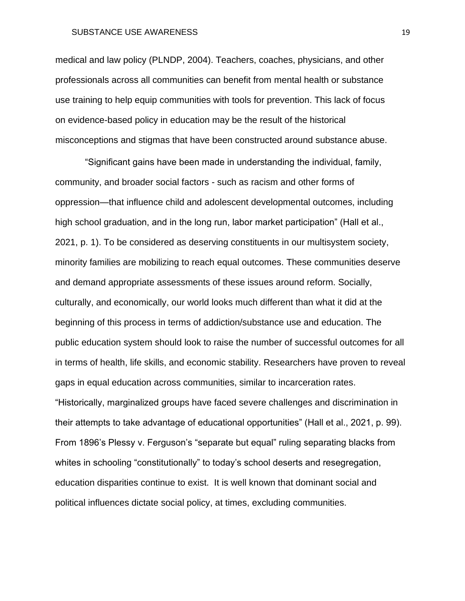medical and law policy (PLNDP, 2004). Teachers, coaches, physicians, and other professionals across all communities can benefit from mental health or substance use training to help equip communities with tools for prevention. This lack of focus on evidence-based policy in education may be the result of the historical misconceptions and stigmas that have been constructed around substance abuse.

"Significant gains have been made in understanding the individual, family, community, and broader social factors - such as racism and other forms of oppression—that influence child and adolescent developmental outcomes, including high school graduation, and in the long run, labor market participation" (Hall et al., 2021, p. 1). To be considered as deserving constituents in our multisystem society, minority families are mobilizing to reach equal outcomes. These communities deserve and demand appropriate assessments of these issues around reform. Socially, culturally, and economically, our world looks much different than what it did at the beginning of this process in terms of addiction/substance use and education. The public education system should look to raise the number of successful outcomes for all in terms of health, life skills, and economic stability. Researchers have proven to reveal gaps in equal education across communities, similar to incarceration rates. "Historically, marginalized groups have faced severe challenges and discrimination in their attempts to take advantage of educational opportunities" (Hall et al., 2021, p. 99). From 1896's Plessy v. Ferguson's "separate but equal" ruling separating blacks from whites in schooling "constitutionally" to today's school deserts and resegregation, education disparities continue to exist. It is well known that dominant social and political influences dictate social policy, at times, excluding communities.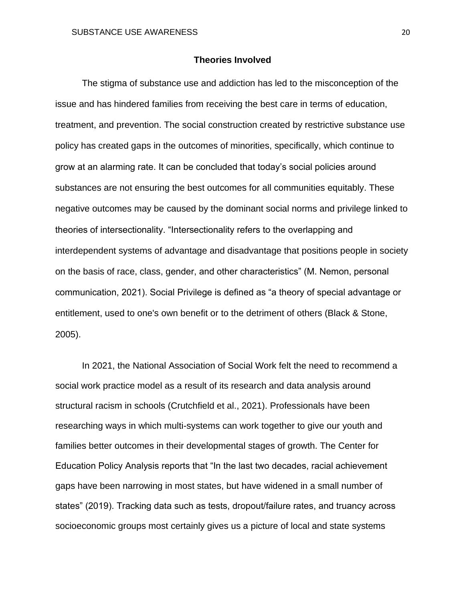## **Theories Involved**

The stigma of substance use and addiction has led to the misconception of the issue and has hindered families from receiving the best care in terms of education, treatment, and prevention. The social construction created by restrictive substance use policy has created gaps in the outcomes of minorities, specifically, which continue to grow at an alarming rate. It can be concluded that today's social policies around substances are not ensuring the best outcomes for all communities equitably. These negative outcomes may be caused by the dominant social norms and privilege linked to theories of intersectionality. "Intersectionality refers to the overlapping and interdependent systems of advantage and disadvantage that positions people in society on the basis of race, class, gender, and other characteristics" (M. Nemon, personal communication, 2021). Social Privilege is defined as "a theory of special advantage or entitlement, used to one's own benefit or to the detriment of others (Black & Stone, 2005).

In 2021, the National Association of Social Work felt the need to recommend a social work practice model as a result of its research and data analysis around structural racism in schools (Crutchfield et al., 2021). Professionals have been researching ways in which multi-systems can work together to give our youth and families better outcomes in their developmental stages of growth. The Center for Education Policy Analysis reports that "In the last two decades, racial achievement gaps have been narrowing in most states, but have widened in a small number of states" (2019). Tracking data such as tests, dropout/failure rates, and truancy across socioeconomic groups most certainly gives us a picture of local and state systems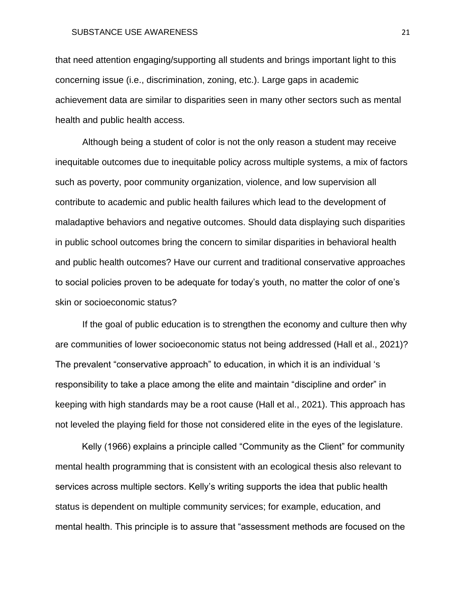that need attention engaging/supporting all students and brings important light to this concerning issue (i.e., discrimination, zoning, etc.). Large gaps in academic achievement data are similar to disparities seen in many other sectors such as mental health and public health access.

Although being a student of color is not the only reason a student may receive inequitable outcomes due to inequitable policy across multiple systems, a mix of factors such as poverty, poor community organization, violence, and low supervision all contribute to academic and public health failures which lead to the development of maladaptive behaviors and negative outcomes. Should data displaying such disparities in public school outcomes bring the concern to similar disparities in behavioral health and public health outcomes? Have our current and traditional conservative approaches to social policies proven to be adequate for today's youth, no matter the color of one's skin or socioeconomic status?

If the goal of public education is to strengthen the economy and culture then why are communities of lower socioeconomic status not being addressed (Hall et al., 2021)? The prevalent "conservative approach" to education, in which it is an individual 's responsibility to take a place among the elite and maintain "discipline and order" in keeping with high standards may be a root cause (Hall et al., 2021). This approach has not leveled the playing field for those not considered elite in the eyes of the legislature.

Kelly (1966) explains a principle called "Community as the Client" for community mental health programming that is consistent with an ecological thesis also relevant to services across multiple sectors. Kelly's writing supports the idea that public health status is dependent on multiple community services; for example, education, and mental health. This principle is to assure that "assessment methods are focused on the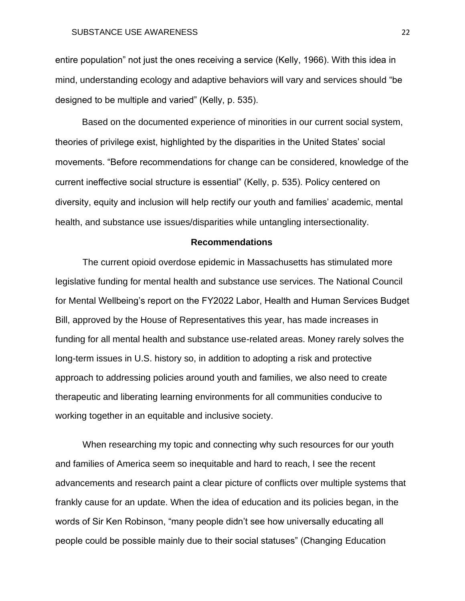entire population" not just the ones receiving a service (Kelly, 1966). With this idea in mind, understanding ecology and adaptive behaviors will vary and services should "be designed to be multiple and varied" (Kelly, p. 535).

Based on the documented experience of minorities in our current social system, theories of privilege exist, highlighted by the disparities in the United States' social movements. "Before recommendations for change can be considered, knowledge of the current ineffective social structure is essential" (Kelly, p. 535). Policy centered on diversity, equity and inclusion will help rectify our youth and families' academic, mental health, and substance use issues/disparities while untangling intersectionality.

### **Recommendations**

The current opioid overdose epidemic in Massachusetts has stimulated more legislative funding for mental health and substance use services. The National Council for Mental Wellbeing's report on the FY2022 Labor, Health and Human Services Budget Bill, approved by the House of Representatives this year, has made increases in funding for all mental health and substance use-related areas. Money rarely solves the long-term issues in U.S. history so, in addition to adopting a risk and protective approach to addressing policies around youth and families, we also need to create therapeutic and liberating learning environments for all communities conducive to working together in an equitable and inclusive society.

When researching my topic and connecting why such resources for our youth and families of America seem so inequitable and hard to reach, I see the recent advancements and research paint a clear picture of conflicts over multiple systems that frankly cause for an update. When the idea of education and its policies began, in the words of Sir Ken Robinson, "many people didn't see how universally educating all people could be possible mainly due to their social statuses" (Changing Education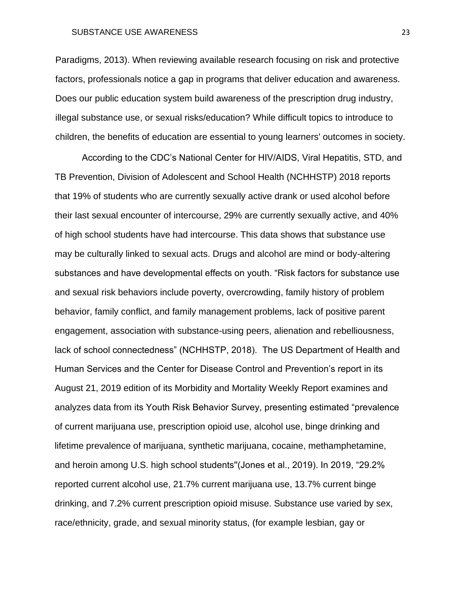Paradigms, 2013). When reviewing available research focusing on risk and protective factors, professionals notice a gap in programs that deliver education and awareness. Does our public education system build awareness of the prescription drug industry, illegal substance use, or sexual risks/education? While difficult topics to introduce to children, the benefits of education are essential to young learners' outcomes in society.

According to the CDC's National Center for HIV/AIDS, Viral Hepatitis, STD, and TB Prevention, Division of Adolescent and School Health (NCHHSTP) 2018 reports that 19% of students who are currently sexually active drank or used alcohol before their last sexual encounter of intercourse, 29% are currently sexually active, and 40% of high school students have had intercourse. This data shows that substance use may be culturally linked to sexual acts. Drugs and alcohol are mind or body-altering substances and have developmental effects on youth. "Risk factors for substance use and sexual risk behaviors include poverty, overcrowding, family history of problem behavior, family conflict, and family management problems, lack of positive parent engagement, association with substance-using peers, alienation and rebelliousness, lack of school connectedness" (NCHHSTP, 2018). The US Department of Health and Human Services and the Center for Disease Control and Prevention's report in its August 21, 2019 edition of its Morbidity and Mortality Weekly Report examines and analyzes data from its Youth Risk Behavior Survey, presenting estimated "prevalence of current marijuana use, prescription opioid use, alcohol use, binge drinking and lifetime prevalence of marijuana, synthetic marijuana, cocaine, methamphetamine, and heroin among U.S. high school students''(Jones et al., 2019). In 2019, "29.2% reported current alcohol use, 21.7% current marijuana use, 13.7% current binge drinking, and 7.2% current prescription opioid misuse. Substance use varied by sex, race/ethnicity, grade, and sexual minority status, (for example lesbian, gay or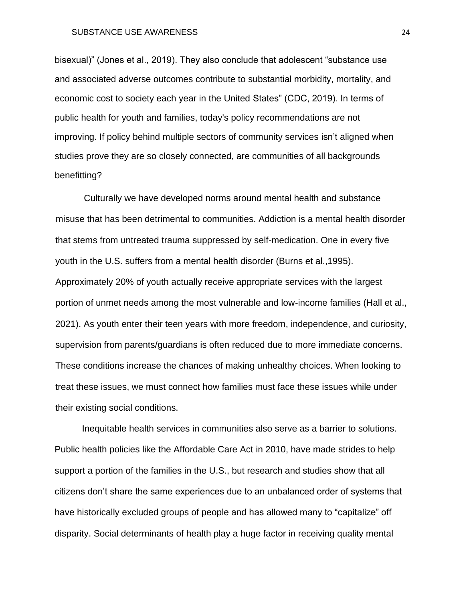bisexual)" (Jones et al., 2019). They also conclude that adolescent "substance use and associated adverse outcomes contribute to substantial morbidity, mortality, and economic cost to society each year in the United States" (CDC, 2019). In terms of public health for youth and families, today's policy recommendations are not improving. If policy behind multiple sectors of community services isn't aligned when studies prove they are so closely connected, are communities of all backgrounds benefitting?

Culturally we have developed norms around mental health and substance misuse that has been detrimental to communities. Addiction is a mental health disorder that stems from untreated trauma suppressed by self-medication. One in every five youth in the U.S. suffers from a mental health disorder (Burns et al.,1995). Approximately 20% of youth actually receive appropriate services with the largest portion of unmet needs among the most vulnerable and low-income families (Hall et al., 2021). As youth enter their teen years with more freedom, independence, and curiosity, supervision from parents/guardians is often reduced due to more immediate concerns. These conditions increase the chances of making unhealthy choices. When looking to treat these issues, we must connect how families must face these issues while under their existing social conditions.

Inequitable health services in communities also serve as a barrier to solutions. Public health policies like the Affordable Care Act in 2010, have made strides to help support a portion of the families in the U.S., but research and studies show that all citizens don't share the same experiences due to an unbalanced order of systems that have historically excluded groups of people and has allowed many to "capitalize" off disparity. Social determinants of health play a huge factor in receiving quality mental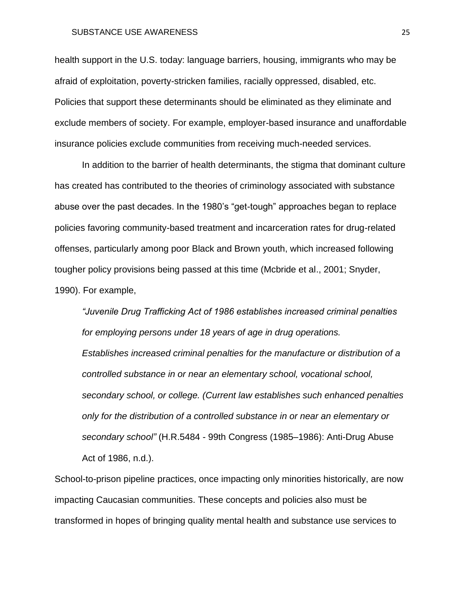health support in the U.S. today: language barriers, housing, immigrants who may be afraid of exploitation, poverty-stricken families, racially oppressed, disabled, etc. Policies that support these determinants should be eliminated as they eliminate and exclude members of society. For example, employer-based insurance and unaffordable insurance policies exclude communities from receiving much-needed services.

In addition to the barrier of health determinants, the stigma that dominant culture has created has contributed to the theories of criminology associated with substance abuse over the past decades. In the 1980's "get-tough" approaches began to replace policies favoring community-based treatment and incarceration rates for drug-related offenses, particularly among poor Black and Brown youth, which increased following tougher policy provisions being passed at this time (Mcbride et al., 2001; Snyder, 1990). For example,

*"Juvenile Drug Trafficking Act of 1986 establishes increased criminal penalties for employing persons under 18 years of age in drug operations. Establishes increased criminal penalties for the manufacture or distribution of a controlled substance in or near an elementary school, vocational school, secondary school, or college. (Current law establishes such enhanced penalties only for the distribution of a controlled substance in or near an elementary or secondary school"* (H.R.5484 - 99th Congress (1985–1986): Anti-Drug Abuse Act of 1986, n.d.).

School-to-prison pipeline practices, once impacting only minorities historically, are now impacting Caucasian communities. These concepts and policies also must be transformed in hopes of bringing quality mental health and substance use services to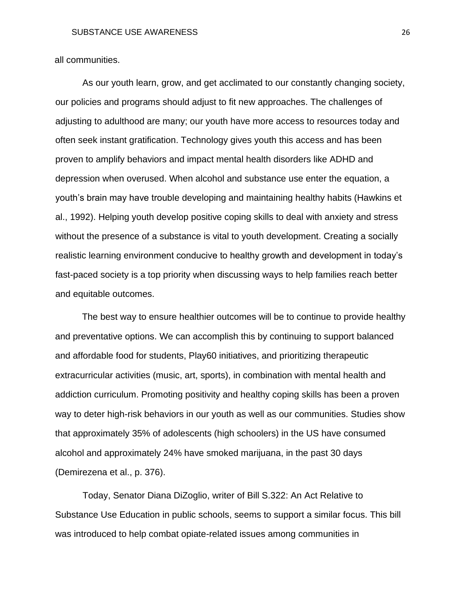all communities.

As our youth learn, grow, and get acclimated to our constantly changing society, our policies and programs should adjust to fit new approaches. The challenges of adjusting to adulthood are many; our youth have more access to resources today and often seek instant gratification. Technology gives youth this access and has been proven to amplify behaviors and impact mental health disorders like ADHD and depression when overused. When alcohol and substance use enter the equation, a youth's brain may have trouble developing and maintaining healthy habits (Hawkins et al., 1992). Helping youth develop positive coping skills to deal with anxiety and stress without the presence of a substance is vital to youth development. Creating a socially realistic learning environment conducive to healthy growth and development in today's fast-paced society is a top priority when discussing ways to help families reach better and equitable outcomes.

The best way to ensure healthier outcomes will be to continue to provide healthy and preventative options. We can accomplish this by continuing to support balanced and affordable food for students, Play60 initiatives, and prioritizing therapeutic extracurricular activities (music, art, sports), in combination with mental health and addiction curriculum. Promoting positivity and healthy coping skills has been a proven way to deter high-risk behaviors in our youth as well as our communities. Studies show that approximately 35% of adolescents (high schoolers) in the US have consumed alcohol and approximately 24% have smoked marijuana, in the past 30 days (Demirezena et al., p. 376).

Today, Senator Diana DiZoglio, writer of Bill S.322: An Act Relative to Substance Use Education in public schools, seems to support a similar focus. This bill was introduced to help combat opiate-related issues among communities in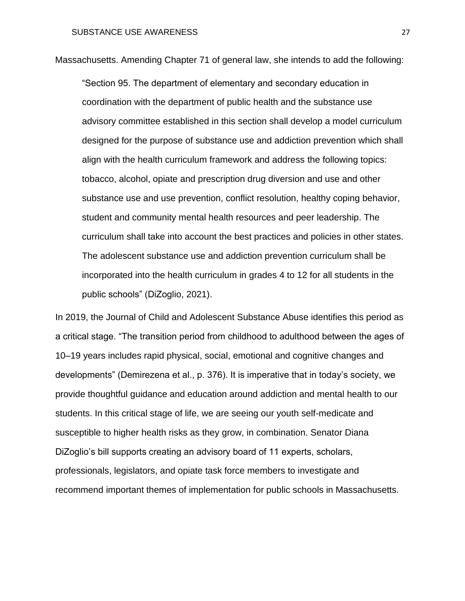Massachusetts. Amending Chapter 71 of general law, she intends to add the following:

"Section 95. The department of elementary and secondary education in coordination with the department of public health and the substance use advisory committee established in this section shall develop a model curriculum designed for the purpose of substance use and addiction prevention which shall align with the health curriculum framework and address the following topics: tobacco, alcohol, opiate and prescription drug diversion and use and other substance use and use prevention, conflict resolution, healthy coping behavior, student and community mental health resources and peer leadership. The curriculum shall take into account the best practices and policies in other states. The adolescent substance use and addiction prevention curriculum shall be incorporated into the health curriculum in grades 4 to 12 for all students in the public schools" (DiZoglio, 2021).

In 2019, the Journal of Child and Adolescent Substance Abuse identifies this period as a critical stage. "The transition period from childhood to adulthood between the ages of 10–19 years includes rapid physical, social, emotional and cognitive changes and developments" (Demirezena et al., p. 376). It is imperative that in today's society, we provide thoughtful guidance and education around addiction and mental health to our students. In this critical stage of life, we are seeing our youth self-medicate and susceptible to higher health risks as they grow, in combination. Senator Diana DiZoglio's bill supports creating an advisory board of 11 experts, scholars, professionals, legislators, and opiate task force members to investigate and recommend important themes of implementation for public schools in Massachusetts.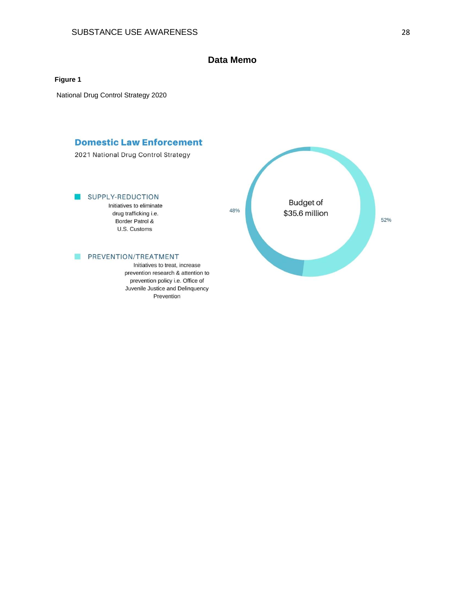## **Data Memo**

#### **Figure 1**

National Drug Control Strategy 2020

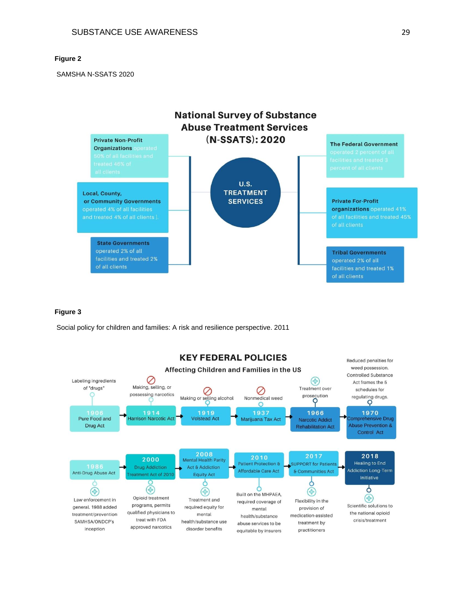#### **Figure 2**

SAMSHA N-SSATS 2020



#### **Figure 3**

Social policy for children and families: A risk and resilience perspective. 2011

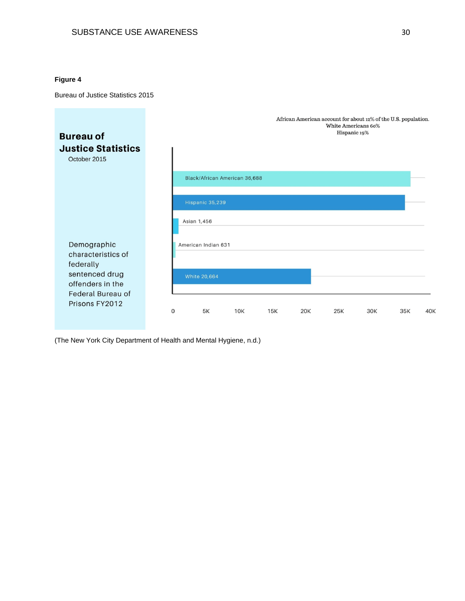## **Figure 4**

Bureau of Justice Statistics 2015

| <b>Bureau of</b><br><b>Justice Statistics</b><br>October 2015 |   | African American account for about 12% of the U.S. population.<br>White Americans 60%<br>Hispanic 19% |            |     |     |     |     |     |     |
|---------------------------------------------------------------|---|-------------------------------------------------------------------------------------------------------|------------|-----|-----|-----|-----|-----|-----|
|                                                               |   | Black/African American 36,688                                                                         |            |     |     |     |     |     |     |
|                                                               |   | Hispanic 35,239                                                                                       |            |     |     |     |     |     |     |
|                                                               |   | Asian 1,456                                                                                           |            |     |     |     |     |     |     |
| Demographic<br>characteristics of<br>federally                |   | American Indian 631                                                                                   |            |     |     |     |     |     |     |
| sentenced drug<br>offenders in the<br>Federal Bureau of       |   | <b>White 20,664</b>                                                                                   |            |     |     |     |     |     |     |
| Prisons FY2012                                                | 0 | 5K                                                                                                    | <b>10K</b> | 15K | 20K | 25K | 30K | 35K | 40K |

(The New York City Department of Health and Mental Hygiene, n.d.)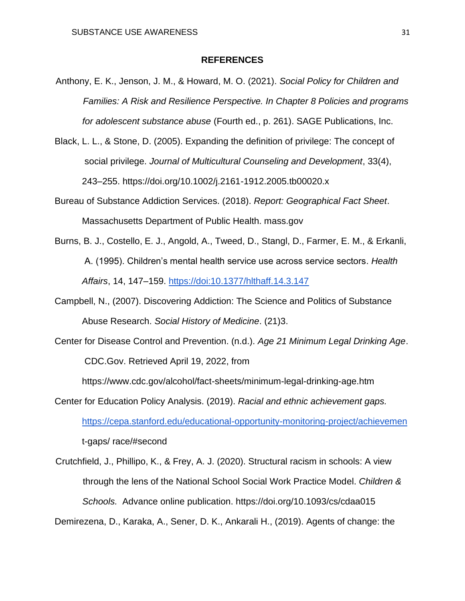#### **REFERENCES**

- Anthony, E. K., Jenson, J. M., & Howard, M. O. (2021). *Social Policy for Children and Families: A Risk and Resilience Perspective. In Chapter 8 Policies and programs for adolescent substance abuse* (Fourth ed., p. 261). SAGE Publications, Inc.
- Black, L. L., & Stone, D. (2005). Expanding the definition of privilege: The concept of social privilege. *Journal of Multicultural Counseling and Development*, 33(4), 243–255. https://doi.org/10.1002/j.2161-1912.2005.tb00020.x
- Bureau of Substance Addiction Services. (2018). *Report: Geographical Fact Sheet*. Massachusetts Department of Public Health. mass.gov
- Burns, B. J., Costello, E. J., Angold, A., Tweed, D., Stangl, D., Farmer, E. M., & Erkanli, A. (1995). Children's mental health service use across service sectors. *Health Affairs*, 14, 147–159. https://doi:10.1377/hlthaff.14.3.147
- Campbell, N., (2007). Discovering Addiction: The Science and Politics of Substance Abuse Research. *Social History of Medicine*. (21)3.
- Center for Disease Control and Prevention. (n.d.). *Age 21 Minimum Legal Drinking Age*. CDC.Gov. Retrieved April 19, 2022, from

https://www.cdc.gov/alcohol/fact-sheets/minimum-legal-drinking-age.htm

- Center for Education Policy Analysis. (2019). *Racial and ethnic achievement gaps.* <https://cepa.stanford.edu/educational-opportunity-monitoring-project/achievemen> t-gaps/ race/#second
- Crutchfield, J., Phillipo, K., & Frey, A. J. (2020). Structural racism in schools: A view through the lens of the National School Social Work Practice Model. *Children & Schools.* Advance online publication. https://doi.org/10.1093/cs/cdaa015

Demirezena, D., Karaka, A., Sener, D. K., Ankarali H., (2019). Agents of change: the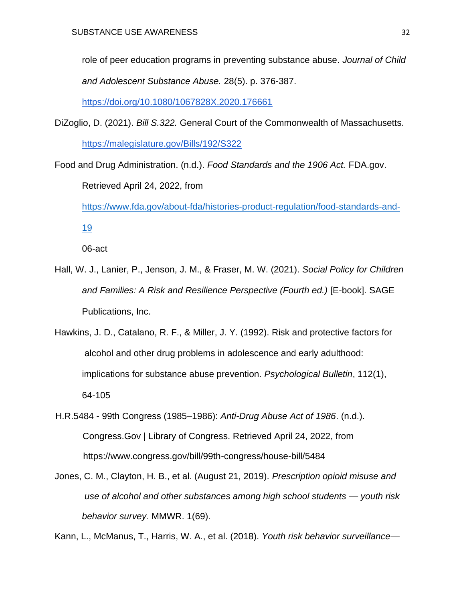role of peer education programs in preventing substance abuse. *Journal of Child and Adolescent Substance Abuse.* 28(5). p. 376-387.

[https://doi.org/10.1080/1067828X.2020.176661](https://doi.org/10.1080/1067828X.2020.1766618)

DiZoglio, D. (2021). *Bill S.322.* General Court of the Commonwealth of Massachusetts. <https://malegislature.gov/Bills/192/S322>

Food and Drug Administration. (n.d.). *Food Standards and the 1906 Act.* FDA.gov.

Retrieved April 24, 2022, from

[https://www.fda.gov/about-fda/histories-product-regulation/food-standards-and-](https://www.fda.gov/about-fda/histories-product-regulation/food-standards-and-19)

[19](https://www.fda.gov/about-fda/histories-product-regulation/food-standards-and-19)

06-act

- Hall, W. J., Lanier, P., Jenson, J. M., & Fraser, M. W. (2021). *Social Policy for Children and Families: A Risk and Resilience Perspective (Fourth ed.)* [E-book]. SAGE Publications, Inc.
- Hawkins, J. D., Catalano, R. F., & Miller, J. Y. (1992). Risk and protective factors for alcohol and other drug problems in adolescence and early adulthood: implications for substance abuse prevention. *Psychological Bulletin*, 112(1), 64-105
- H.R.5484 99th Congress (1985–1986): *Anti-Drug Abuse Act of 1986*. (n.d.). Congress.Gov | Library of Congress. Retrieved April 24, 2022, from https://www.congress.gov/bill/99th-congress/house-bill/5484
- Jones, C. M., Clayton, H. B., et al. (August 21, 2019). *Prescription opioid misuse and use of alcohol and other substances among high school students — youth risk behavior survey.* MMWR. 1(69).

Kann, L., McManus, T., Harris, W. A., et al. (2018). *Youth risk behavior surveillance—*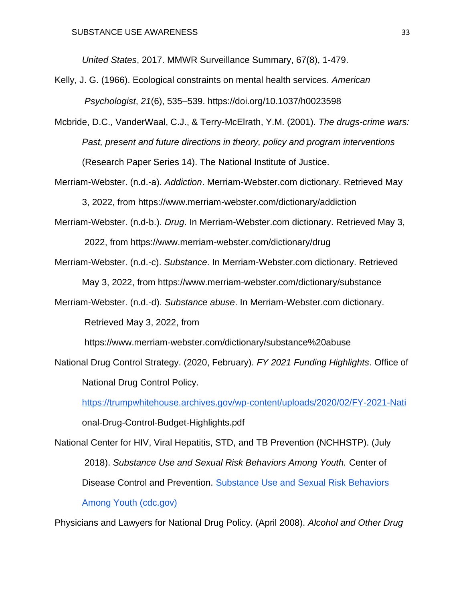*United States*, 2017. MMWR Surveillance Summary, 67(8), 1-479.

- Kelly, J. G. (1966). Ecological constraints on mental health services. *American Psychologist*, *21*(6), 535–539. https://doi.org/10.1037/h0023598
- Mcbride, D.C., VanderWaal, C.J., & Terry-McElrath, Y.M. (2001). *The drugs-crime wars: Past, present and future directions in theory, policy and program interventions* (Research Paper Series 14). The National Institute of Justice.
- Merriam-Webster. (n.d.-a). *Addiction*. Merriam-Webster.com dictionary. Retrieved May 3, 2022, from https://www.merriam-webster.com/dictionary/addiction
- Merriam-Webster. (n.d-b.). *Drug*. In Merriam-Webster.com dictionary. Retrieved May 3, 2022, from https://www.merriam-webster.com/dictionary/drug
- Merriam-Webster. (n.d.-c). *Substance*. In Merriam-Webster.com dictionary. Retrieved May 3, 2022, from https://www.merriam-webster.com/dictionary/substance
- Merriam-Webster. (n.d.-d). *Substance abuse*. In Merriam-Webster.com dictionary. Retrieved May 3, 2022, from

https://www.merriam-webster.com/dictionary/substance%20abuse

National Drug Control Strategy. (2020, February). *FY 2021 Funding Highlights*. Office of National Drug Control Policy.

<https://trumpwhitehouse.archives.gov/wp-content/uploads/2020/02/FY-2021-Nati>

onal-Drug-Control-Budget-Highlights.pdf

National Center for HIV, Viral Hepatitis, STD, and TB Prevention (NCHHSTP). (July 2018). *Substance Use and Sexual Risk Behaviors Among Youth.* Center of Disease Control and Prevention. Substance Use and [Sexual Risk Behaviors](https://www.cdc.gov/healthyyouth/substance-use/pdf/dash-substance-use-fact-sheet.pdf)  [Among Youth \(cdc.gov\)](https://www.cdc.gov/healthyyouth/substance-use/pdf/dash-substance-use-fact-sheet.pdf)

Physicians and Lawyers for National Drug Policy. (April 2008). *Alcohol and Other Drug*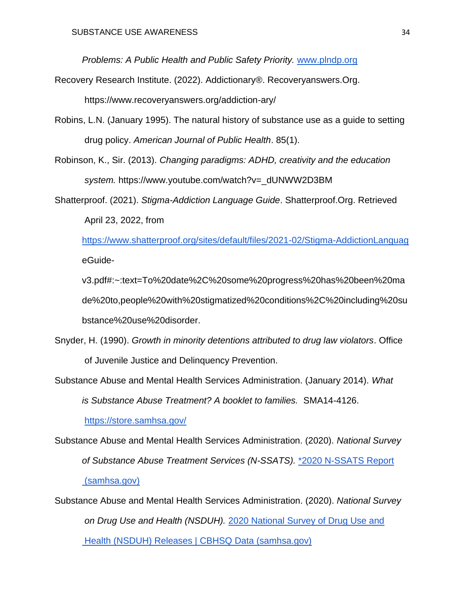*Problems: A Public Health and Public Safety Priority.* [www.plndp.org](http://www.plndp.org/)

- Recovery Research Institute. (2022). Addictionary®. Recoveryanswers.Org. https://www.recoveryanswers.org/addiction-ary/
- Robins, L.N. (January 1995). The natural history of substance use as a guide to setting drug policy. *American Journal of Public Health*. 85(1).
- Robinson, K., Sir. (2013). *Changing paradigms: ADHD, creativity and the education system.* https://www.youtube.com/watch?v=\_dUNWW2D3BM
- Shatterproof. (2021). *Stigma-Addiction Language Guide*. Shatterproof.Org. Retrieved April 23, 2022, from
	- <https://www.shatterproof.org/sites/default/files/2021-02/Stigma-AddictionLanguag> eGuide-

v3.pdf#:~:text=To%20date%2C%20some%20progress%20has%20been%20ma de%20to,people%20with%20stigmatized%20conditions%2C%20including%20su bstance%20use%20disorder.

- Snyder, H. (1990). *Growth in minority detentions attributed to drug law violators*. Office of Juvenile Justice and Delinquency Prevention.
- Substance Abuse and Mental Health Services Administration. (January 2014). *What*

*is Substance Abuse Treatment? A booklet to families.* SMA14-4126.

<https://store.samhsa.gov/>

- Substance Abuse and Mental Health Services Administration. (2020). *National Survey of Substance Abuse Treatment Services (N-SSATS).* [\\*2020 N-SSATS Report](https://www.samhsa.gov/data/sites/default/files/reports/rpt35313/2020_NSSATS_FINAL.pdf) [\(samhsa.gov\)](https://www.samhsa.gov/data/sites/default/files/reports/rpt35313/2020_NSSATS_FINAL.pdf)
- Substance Abuse and Mental Health Services Administration. (2020). *National Survey on Drug Use and Health (NSDUH).* [2020 National Survey of Drug Use and](https://www.samhsa.gov/data/release/2020-national-survey-drug-use-and-health-nsduh-releases) [Health \(NSDUH\) Releases | CBHSQ Data \(samhsa.gov\)](https://www.samhsa.gov/data/release/2020-national-survey-drug-use-and-health-nsduh-releases)